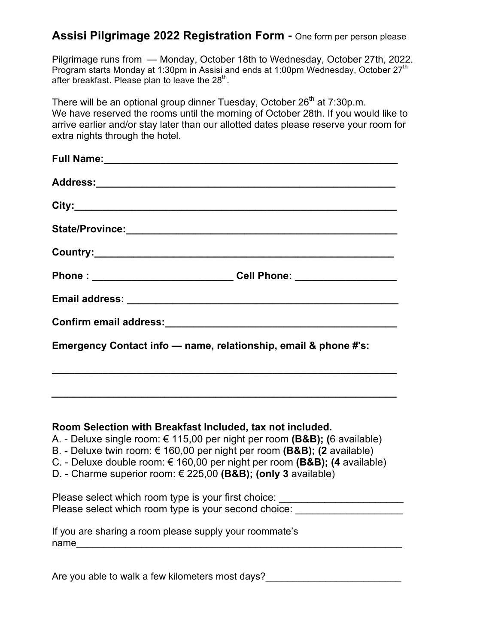## **Assisi Pilgrimage 2022 Registration Form -** One form per person please

Pilgrimage runs from — Monday, October 18th to Wednesday, October 27th, 2022. Program starts Monday at 1:30pm in Assisi and ends at 1:00pm Wednesday, October 27<sup>th</sup> after breakfast. Please plan to leave the  $28<sup>th</sup>$ .

There will be an optional group dinner Tuesday, October  $26<sup>th</sup>$  at  $7:30p.m.$ We have reserved the rooms until the morning of October 28th. If you would like to arrive earlier and/or stay later than our allotted dates please reserve your room for extra nights through the hotel.

| Phone : ______________________________Cell Phone: ______________________________ |
|----------------------------------------------------------------------------------|
|                                                                                  |
|                                                                                  |
| Emergency Contact info - name, relationship, email & phone #'s:                  |

## **Room Selection with Breakfast Included, tax not included.**

- A. Deluxe single room: € 115,00 per night per room **(B&B); (**6 available)
- B. Deluxe twin room: € 160,00 per night per room **(B&B); (2** available)
- C. Deluxe double room: € 160,00 per night per room **(B&B); (4** available)
- D. Charme superior room: € 225,00 **(B&B); (only 3** available)

| Please select which room type is your first choice:  |  |
|------------------------------------------------------|--|
| Please select which room type is your second choice: |  |

|      | If you are sharing a room please supply your roommate's |
|------|---------------------------------------------------------|
| name |                                                         |

Are you able to walk a few kilometers most days?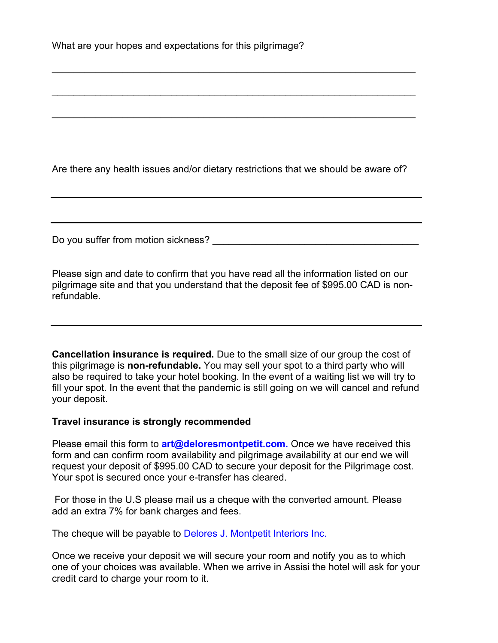Are there any health issues and/or dietary restrictions that we should be aware of?

 $\mathcal{L}_\text{max}$  and  $\mathcal{L}_\text{max}$  and  $\mathcal{L}_\text{max}$  and  $\mathcal{L}_\text{max}$  and  $\mathcal{L}_\text{max}$  and  $\mathcal{L}_\text{max}$ 

\_\_\_\_\_\_\_\_\_\_\_\_\_\_\_\_\_\_\_\_\_\_\_\_\_\_\_\_\_\_\_\_\_\_\_\_\_\_\_\_\_\_\_\_\_\_\_\_\_\_\_\_\_\_\_\_\_\_\_\_\_\_\_\_\_\_\_

 $\mathcal{L}_\text{max}$  and  $\mathcal{L}_\text{max}$  and  $\mathcal{L}_\text{max}$  and  $\mathcal{L}_\text{max}$  and  $\mathcal{L}_\text{max}$  and  $\mathcal{L}_\text{max}$ 

Do you suffer from motion sickness? **Example 20** and the state of the state of the state of the state of the state of the state of the state of the state of the state of the state of the state of the state of the state of

Please sign and date to confirm that you have read all the information listed on our pilgrimage site and that you understand that the deposit fee of \$995.00 CAD is nonrefundable.

**Cancellation insurance is required.** Due to the small size of our group the cost of this pilgrimage is **non-refundable.** You may sell your spot to a third party who will also be required to take your hotel booking. In the event of a waiting list we will try to fill your spot. In the event that the pandemic is still going on we will cancel and refund your deposit.

## **Travel insurance is strongly recommended**

Please email this form to **art@deloresmontpetit.com.** Once we have received this form and can confirm room availability and pilgrimage availability at our end we will request your deposit of \$995.00 CAD to secure your deposit for the Pilgrimage cost. Your spot is secured once your e-transfer has cleared.

 For those in the U.S please mail us a cheque with the converted amount. Please add an extra 7% for bank charges and fees.

The cheque will be payable to Delores J. Montpetit Interiors Inc.

Once we receive your deposit we will secure your room and notify you as to which one of your choices was available. When we arrive in Assisi the hotel will ask for your credit card to charge your room to it.